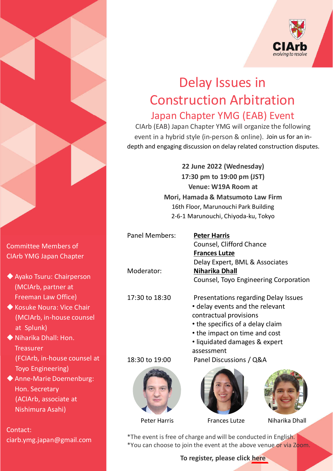

## Delay Issues in **Construction Arbitration** Japan Chapter YMG (EAB) Event

CIArb (EAB) Japan Chapter YMG will organize the following event in a hybrid style (in-person & online). Join us for an indepth and engaging discussion on delay related construction disputes.

> 22 June 2022 (Wednesday) 17:30 pm to 19:00 pm (JST) Venue: W19A Room at Mori, Hamada & Matsumoto Law Firm 16th Floor, Marunouchi Park Building 2-6-1Marunouchi,Chiyoda-ku,Tokyo

Panel Members: Peter Harris

Counsel, Clifford Chance **Frances Lutze** Delay Expert, BML & Associates Moderator: Niharika Dhall Counsel, Toyo Engineering Corporation

- 17:30 to 18:30 Presentations regarding Delay Issues • delay events and the relevant contractual provisions
	- the specifics of a delay claim
	- the impact on time and cost
	- liquidated damages & expert assessment

18:30to19:00 PanelDiscussions/Q&A





Peter Harris Frances Lutze Niharika Dhall

\*The event is free of charge and will be conducted in English. \*You can choose to join the event at the above venue or via Zoom.

To register, please click [here](https://docs.google.com/forms/d/170vT2ilQqVePewIpDGYVcVswEIcfGmwpgCkMNDxjhl4/edit)

Committee Members of CIArb YMG Japan Chapter

- ◆ Ayako Tsuru: Chairperson (MCIArb, partner at Freeman Law Office)
- ◆ Kosuke Noura: Vice Chair (MCIArb, in-house counsel at Splunk)
- $\blacklozenge$  Niharika Dhall: Hon. **Treasurer** (FCIArb, in-house counsel at Toyo Engineering)
- ◆ Anne-Marie Doernenburg: Hon. Secretary (ACIArb, associate at Nishimura Asahi)

Contact: ciarb.ymg.japan@gmail.com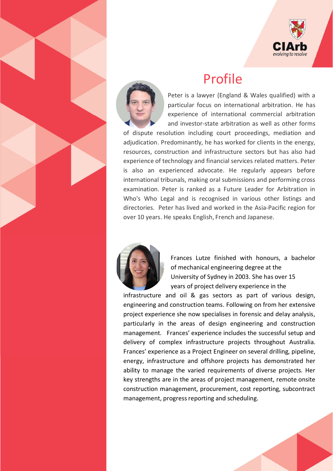

## Profile



Peter is a lawyer (England & Wales qualified) with a particular focus on international arbitration. He has experience of international commercial arbitration and investor-state arbitration as well as other forms

of dispute resolution including court proceedings, mediation and adjudication. Predominantly, he has worked for clients in the energy, resources, construction and infrastructure sectors but has also had experience of technology and financial services related matters. Peter is also an experienced advocate. He regularly appears before international tribunals, making oral submissions and performing cross examination. Peter is ranked as a Future Leader for Arbitration in Who's Who Legal and is recognised in various other listings and directories. Peter has lived and worked in the Asia-Pacific region for over 10 years. He speaks English, French and Japanese.



Frances Lutze finished with honours, a bachelor of mechanical engineering degree at the University of Sydney in 2003. She has over 15 years of project delivery experience in the

infrastructure and oil & gas sectors as part of various design, engineering and construction teams. Following on from her extensive project experience she now specialises in forensic and delay analysis, particularly in the areas of design engineering and construction management. Frances' experience includes the successful setup and delivery of complex infrastructure projects throughout Australia. Frances' experience as a Project Engineer on several drilling, pipeline, energy, infrastructure and offshore projects has demonstrated her ability to manage the varied requirements of diverse projects. Her key strengths are in the areas of project management, remote onsite construction management, procurement, cost reporting, subcontract management, progress reporting and scheduling.